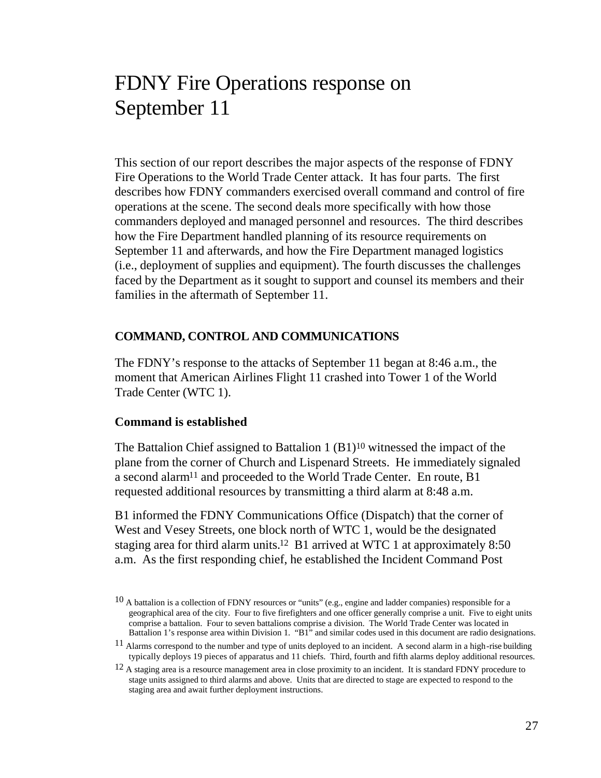# FDNY Fire Operations response on September 11

This section of our report describes the major aspects of the response of FDNY Fire Operations to the World Trade Center attack. It has four parts. The first describes how FDNY commanders exercised overall command and control of fire operations at the scene. The second deals more specifically with how those commanders deployed and managed personnel and resources. The third describes how the Fire Department handled planning of its resource requirements on September 11 and afterwards, and how the Fire Department managed logistics (i.e., deployment of supplies and equipment). The fourth discusses the challenges faced by the Department as it sought to support and counsel its members and their families in the aftermath of September 11.

#### **COMMAND, CONTROL AND COMMUNICATIONS**

The FDNY's response to the attacks of September 11 began at 8:46 a.m., the moment that American Airlines Flight 11 crashed into Tower 1 of the World Trade Center (WTC 1).

#### **Command is established**

The Battalion Chief assigned to Battalion  $1 (B1)^{10}$  witnessed the impact of the plane from the corner of Church and Lispenard Streets. He immediately signaled a second alarm<sup>11</sup> and proceeded to the World Trade Center. En route, B1 requested additional resources by transmitting a third alarm at 8:48 a.m.

B1 informed the FDNY Communications Office (Dispatch) that the corner of West and Vesey Streets, one block north of WTC 1, would be the designated staging area for third alarm units.12 B1 arrived at WTC 1 at approximately 8:50 a.m. As the first responding chief, he established the Incident Command Post

 $10$  A battalion is a collection of FDNY resources or "units" (e.g., engine and ladder companies) responsible for a geographical area of the city. Four to five firefighters and one officer generally comprise a unit. Five to eight units comprise a battalion. Four to seven battalions comprise a division. The World Trade Center was located in Battalion 1's response area within Division 1. "B1" and similar codes used in this document are radio designations.

 $11$  Alarms correspond to the number and type of units deployed to an incident. A second alarm in a high-rise building typically deploys 19 pieces of apparatus and 11 chiefs. Third, fourth and fifth alarms deploy additional resources.

<sup>&</sup>lt;sup>12</sup> A staging area is a resource management area in close proximity to an incident. It is standard FDNY procedure to stage units assigned to third alarms and above. Units that are directed to stage are expected to respond to the staging area and await further deployment instructions.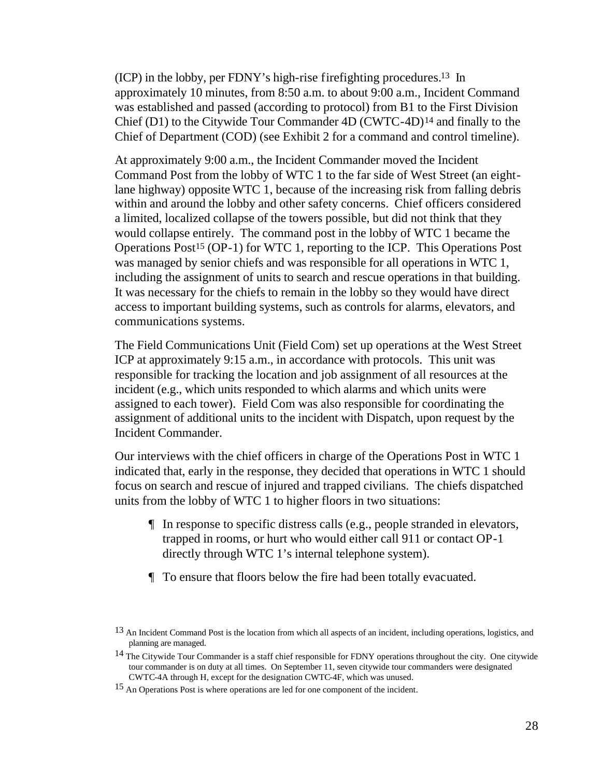(ICP) in the lobby, per FDNY's high-rise firefighting procedures.13 In approximately 10 minutes, from 8:50 a.m. to about 9:00 a.m., Incident Command was established and passed (according to protocol) from B1 to the First Division Chief (D1) to the Citywide Tour Commander 4D (CWTC-4D)14 and finally to the Chief of Department (COD) (see Exhibit 2 for a command and control timeline).

At approximately 9:00 a.m., the Incident Commander moved the Incident Command Post from the lobby of WTC 1 to the far side of West Street (an eightlane highway) opposite WTC 1, because of the increasing risk from falling debris within and around the lobby and other safety concerns. Chief officers considered a limited, localized collapse of the towers possible, but did not think that they would collapse entirely. The command post in the lobby of WTC 1 became the Operations Post15 (OP-1) for WTC 1, reporting to the ICP. This Operations Post was managed by senior chiefs and was responsible for all operations in WTC 1, including the assignment of units to search and rescue operations in that building. It was necessary for the chiefs to remain in the lobby so they would have direct access to important building systems, such as controls for alarms, elevators, and communications systems.

The Field Communications Unit (Field Com) set up operations at the West Street ICP at approximately 9:15 a.m., in accordance with protocols. This unit was responsible for tracking the location and job assignment of all resources at the incident (e.g., which units responded to which alarms and which units were assigned to each tower). Field Com was also responsible for coordinating the assignment of additional units to the incident with Dispatch, upon request by the Incident Commander.

Our interviews with the chief officers in charge of the Operations Post in WTC 1 indicated that, early in the response, they decided that operations in WTC 1 should focus on search and rescue of injured and trapped civilians. The chiefs dispatched units from the lobby of WTC 1 to higher floors in two situations:

- ¶ In response to specific distress calls (e.g., people stranded in elevators, trapped in rooms, or hurt who would either call 911 or contact OP-1 directly through WTC 1's internal telephone system).
- ¶ To ensure that floors below the fire had been totally evacuated.

<sup>&</sup>lt;sup>13</sup> An Incident Command Post is the location from which all aspects of an incident, including operations, logistics, and planning are managed.

<sup>&</sup>lt;sup>14</sup> The Citywide Tour Commander is a staff chief responsible for FDNY operations throughout the city. One citywide tour commander is on duty at all times. On September 11, seven citywide tour commanders were designated CWTC-4A through H, except for the designation CWTC-4F, which was unused.

<sup>15</sup> An Operations Post is where operations are led for one component of the incident.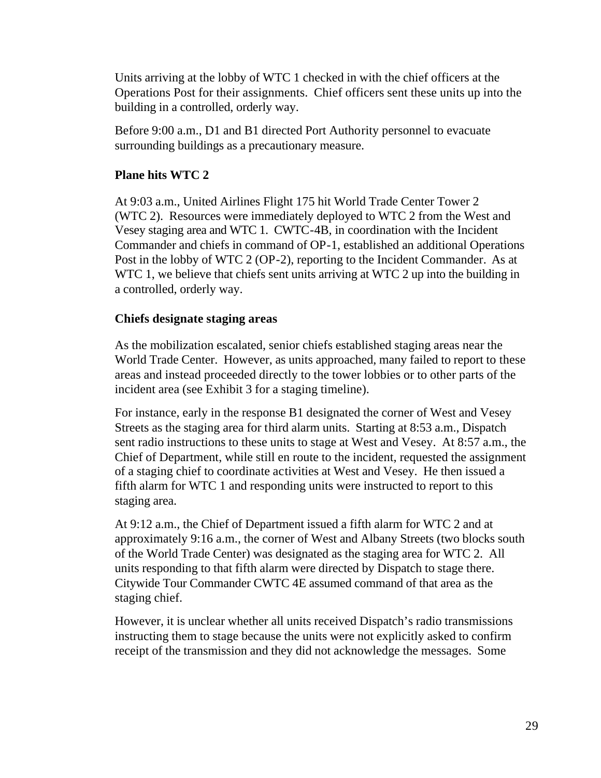Units arriving at the lobby of WTC 1 checked in with the chief officers at the Operations Post for their assignments. Chief officers sent these units up into the building in a controlled, orderly way.

Before 9:00 a.m., D1 and B1 directed Port Authority personnel to evacuate surrounding buildings as a precautionary measure.

# **Plane hits WTC 2**

At 9:03 a.m., United Airlines Flight 175 hit World Trade Center Tower 2 (WTC 2). Resources were immediately deployed to WTC 2 from the West and Vesey staging area and WTC 1. CWTC-4B, in coordination with the Incident Commander and chiefs in command of OP-1, established an additional Operations Post in the lobby of WTC 2 (OP-2), reporting to the Incident Commander.As at WTC 1, we believe that chiefs sent units arriving at WTC 2 up into the building in a controlled, orderly way.

# **Chiefs designate staging areas**

As the mobilization escalated, senior chiefs established staging areas near the World Trade Center. However, as units approached, many failed to report to these areas and instead proceeded directly to the tower lobbies or to other parts of the incident area (see Exhibit 3 for a staging timeline).

For instance, early in the response B1 designated the corner of West and Vesey Streets as the staging area for third alarm units. Starting at 8:53 a.m., Dispatch sent radio instructions to these units to stage at West and Vesey. At 8:57 a.m., the Chief of Department, while still en route to the incident, requested the assignment of a staging chief to coordinate activities at West and Vesey. He then issued a fifth alarm for WTC 1 and responding units were instructed to report to this staging area.

At 9:12 a.m., the Chief of Department issued a fifth alarm for WTC 2 and at approximately 9:16 a.m., the corner of West and Albany Streets (two blocks south of the World Trade Center) was designated as the staging area for WTC 2. All units responding to that fifth alarm were directed by Dispatch to stage there. Citywide Tour Commander CWTC 4E assumed command of that area as the staging chief.

However, it is unclear whether all units received Dispatch's radio transmissions instructing them to stage because the units were not explicitly asked to confirm receipt of the transmission and they did not acknowledge the messages. Some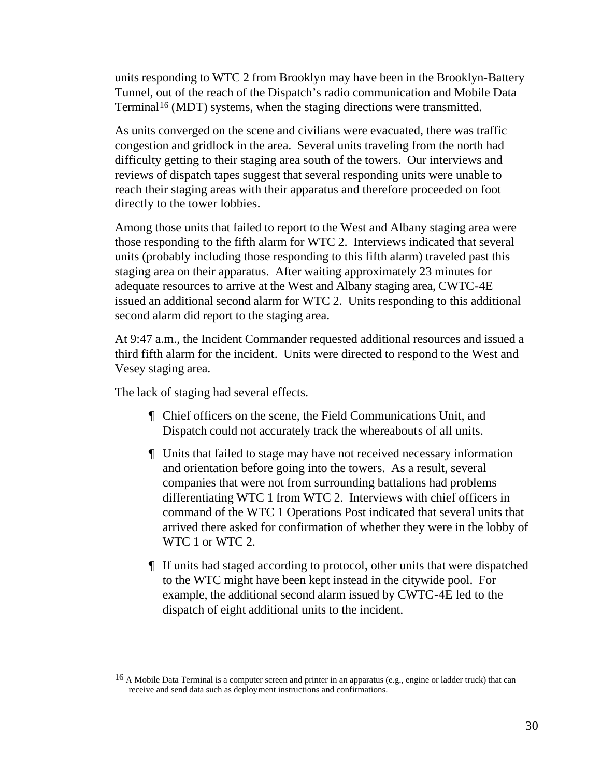units responding to WTC 2 from Brooklyn may have been in the Brooklyn-Battery Tunnel, out of the reach of the Dispatch's radio communication and Mobile Data Terminal<sup>16</sup> (MDT) systems, when the staging directions were transmitted.

As units converged on the scene and civilians were evacuated, there was traffic congestion and gridlock in the area. Several units traveling from the north had difficulty getting to their staging area south of the towers. Our interviews and reviews of dispatch tapes suggest that several responding units were unable to reach their staging areas with their apparatus and therefore proceeded on foot directly to the tower lobbies.

Among those units that failed to report to the West and Albany staging area were those responding to the fifth alarm for WTC 2. Interviews indicated that several units (probably including those responding to this fifth alarm) traveled past this staging area on their apparatus. After waiting approximately 23 minutes for adequate resources to arrive at the West and Albany staging area, CWTC-4E issued an additional second alarm for WTC 2. Units responding to this additional second alarm did report to the staging area.

At 9:47 a.m., the Incident Commander requested additional resources and issued a third fifth alarm for the incident. Units were directed to respond to the West and Vesey staging area.

The lack of staging had several effects.

- ¶ Chief officers on the scene, the Field Communications Unit, and Dispatch could not accurately track the whereabouts of all units.
- ¶ Units that failed to stage may have not received necessary information and orientation before going into the towers. As a result, several companies that were not from surrounding battalions had problems differentiating WTC 1 from WTC 2. Interviews with chief officers in command of the WTC 1 Operations Post indicated that several units that arrived there asked for confirmation of whether they were in the lobby of WTC 1 or WTC 2.
- ¶ If units had staged according to protocol, other units that were dispatched to the WTC might have been kept instead in the citywide pool. For example, the additional second alarm issued by CWTC-4E led to the dispatch of eight additional units to the incident.

<sup>&</sup>lt;sup>16</sup> A Mobile Data Terminal is a computer screen and printer in an apparatus (e.g., engine or ladder truck) that can receive and send data such as deployment instructions and confirmations.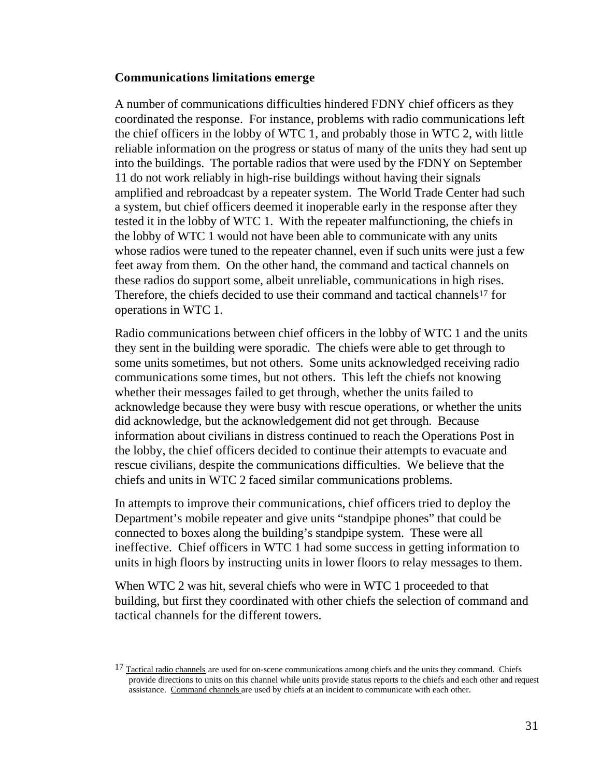#### **Communications limitations emerge**

A number of communications difficulties hindered FDNY chief officers as they coordinated the response. For instance, problems with radio communications left the chief officers in the lobby of WTC 1, and probably those in WTC 2, with little reliable information on the progress or status of many of the units they had sent up into the buildings. The portable radios that were used by the FDNY on September 11 do not work reliably in high-rise buildings without having their signals amplified and rebroadcast by a repeater system. The World Trade Center had such a system, but chief officers deemed it inoperable early in the response after they tested it in the lobby of WTC 1. With the repeater malfunctioning, the chiefs in the lobby of WTC 1 would not have been able to communicate with any units whose radios were tuned to the repeater channel, even if such units were just a few feet away from them. On the other hand, the command and tactical channels on these radios do support some, albeit unreliable, communications in high rises. Therefore, the chiefs decided to use their command and tactical channels<sup>17</sup> for operations in WTC 1.

Radio communications between chief officers in the lobby of WTC 1 and the units they sent in the building were sporadic. The chiefs were able to get through to some units sometimes, but not others. Some units acknowledged receiving radio communications some times, but not others. This left the chiefs not knowing whether their messages failed to get through, whether the units failed to acknowledge because they were busy with rescue operations, or whether the units did acknowledge, but the acknowledgement did not get through. Because information about civilians in distress continued to reach the Operations Post in the lobby, the chief officers decided to continue their attempts to evacuate and rescue civilians, despite the communications difficulties. We believe that the chiefs and units in WTC 2 faced similar communications problems.

In attempts to improve their communications, chief officers tried to deploy the Department's mobile repeater and give units "standpipe phones" that could be connected to boxes along the building's standpipe system. These were all ineffective. Chief officers in WTC 1 had some success in getting information to units in high floors by instructing units in lower floors to relay messages to them.

When WTC 2 was hit, several chiefs who were in WTC 1 proceeded to that building, but first they coordinated with other chiefs the selection of command and tactical channels for the different towers.

<sup>&</sup>lt;sup>17</sup> Tactical radio channels are used for on-scene communications among chiefs and the units they command. Chiefs provide directions to units on this channel while units provide status reports to the chiefs and each other and request assistance. Command channels are used by chiefs at an incident to communicate with each other.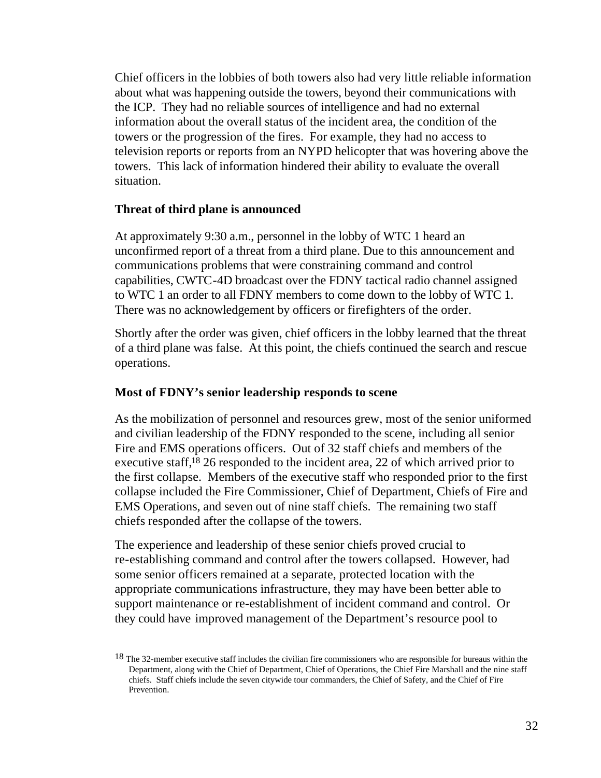Chief officers in the lobbies of both towers also had very little reliable information about what was happening outside the towers, beyond their communications with the ICP. They had no reliable sources of intelligence and had no external information about the overall status of the incident area, the condition of the towers or the progression of the fires. For example, they had no access to television reports or reports from an NYPD helicopter that was hovering above the towers. This lack of information hindered their ability to evaluate the overall situation.

#### **Threat of third plane is announced**

At approximately 9:30 a.m., personnel in the lobby of WTC 1 heard an unconfirmed report of a threat from a third plane. Due to this announcement and communications problems that were constraining command and control capabilities, CWTC-4D broadcast over the FDNY tactical radio channel assigned to WTC 1 an order to all FDNY members to come down to the lobby of WTC 1. There was no acknowledgement by officers or firefighters of the order.

Shortly after the order was given, chief officers in the lobby learned that the threat of a third plane was false. At this point, the chiefs continued the search and rescue operations.

#### **Most of FDNY's senior leadership responds to scene**

As the mobilization of personnel and resources grew, most of the senior uniformed and civilian leadership of the FDNY responded to the scene, including all senior Fire and EMS operations officers. Out of 32 staff chiefs and members of the executive staff,18 26 responded to the incident area, 22 of which arrived prior to the first collapse. Members of the executive staff who responded prior to the first collapse included the Fire Commissioner, Chief of Department, Chiefs of Fire and EMS Operations, and seven out of nine staff chiefs. The remaining two staff chiefs responded after the collapse of the towers.

The experience and leadership of these senior chiefs proved crucial to re-establishing command and control after the towers collapsed. However, had some senior officers remained at a separate, protected location with the appropriate communications infrastructure, they may have been better able to support maintenance or re-establishment of incident command and control. Or they could have improved management of the Department's resource pool to

<sup>&</sup>lt;sup>18</sup> The 32-member executive staff includes the civilian fire commissioners who are responsible for bureaus within the Department, along with the Chief of Department, Chief of Operations, the Chief Fire Marshall and the nine staff chiefs. Staff chiefs include the seven citywide tour commanders, the Chief of Safety, and the Chief of Fire Prevention.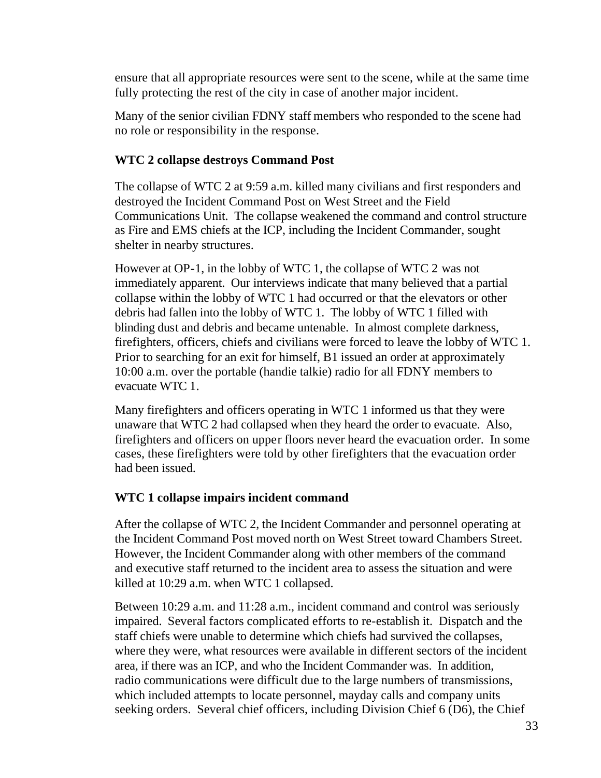ensure that all appropriate resources were sent to the scene, while at the same time fully protecting the rest of the city in case of another major incident.

Many of the senior civilian FDNY staff members who responded to the scene had no role or responsibility in the response.

# **WTC 2 collapse destroys Command Post**

The collapse of WTC 2 at 9:59 a.m. killed many civilians and first responders and destroyed the Incident Command Post on West Street and the Field Communications Unit. The collapse weakened the command and control structure as Fire and EMS chiefs at the ICP, including the Incident Commander, sought shelter in nearby structures.

However at OP-1, in the lobby of WTC 1, the collapse of WTC 2 was not immediately apparent. Our interviews indicate that many believed that a partial collapse within the lobby of WTC 1 had occurred or that the elevators or other debris had fallen into the lobby of WTC 1. The lobby of WTC 1 filled with blinding dust and debris and became untenable. In almost complete darkness, firefighters, officers, chiefs and civilians were forced to leave the lobby of WTC 1. Prior to searching for an exit for himself, B1 issued an order at approximately 10:00 a.m. over the portable (handie talkie) radio for all FDNY members to evacuate WTC 1*.*

Many firefighters and officers operating in WTC 1 informed us that they were unaware that WTC 2 had collapsed when they heard the order to evacuate. Also, firefighters and officers on upper floors never heard the evacuation order. In some cases, these firefighters were told by other firefighters that the evacuation order had been issued.

# **WTC 1 collapse impairs incident command**

After the collapse of WTC 2, the Incident Commander and personnel operating at the Incident Command Post moved north on West Street toward Chambers Street. However, the Incident Commander along with other members of the command and executive staff returned to the incident area to assess the situation and were killed at 10:29 a.m. when WTC 1 collapsed.

Between 10:29 a.m. and 11:28 a.m., incident command and control was seriously impaired.Several factors complicated efforts to re-establish it. Dispatch and the staff chiefs were unable to determine which chiefs had survived the collapses, where they were, what resources were available in different sectors of the incident area, if there was an ICP, and who the Incident Commander was. In addition, radio communications were difficult due to the large numbers of transmissions, which included attempts to locate personnel, mayday calls and company units seeking orders. Several chief officers, including Division Chief 6 (D6), the Chief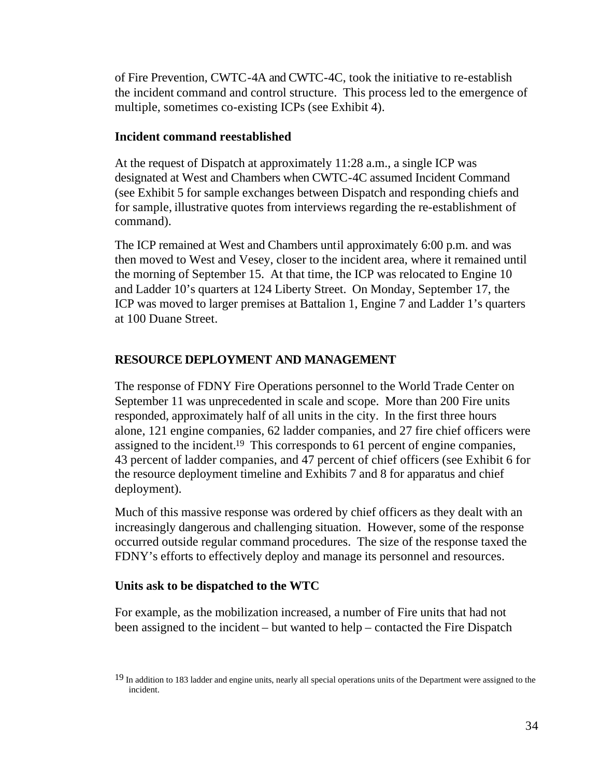of Fire Prevention, CWTC-4A and CWTC-4C, took the initiative to re-establish the incident command and control structure. This process led to the emergence of multiple, sometimes co-existing ICPs (see Exhibit 4).

## **Incident command reestablished**

At the request of Dispatch at approximately 11:28 a.m., a single ICP was designated at West and Chambers when CWTC-4C assumed Incident Command (see Exhibit 5 for sample exchanges between Dispatch and responding chiefs and for sample, illustrative quotes from interviews regarding the re-establishment of command).

The ICP remained at West and Chambers until approximately 6:00 p.m. and was then moved to West and Vesey, closer to the incident area, where it remained until the morning of September 15. At that time, the ICP was relocated to Engine 10 and Ladder 10's quarters at 124 Liberty Street. On Monday, September 17, the ICP was moved to larger premises at Battalion 1, Engine 7 and Ladder 1's quarters at 100 Duane Street.

# **RESOURCE DEPLOYMENT AND MANAGEMENT**

The response of FDNY Fire Operations personnel to the World Trade Center on September 11 was unprecedented in scale and scope. More than 200 Fire units responded, approximately half of all units in the city. In the first three hours alone, 121 engine companies, 62 ladder companies, and 27 fire chief officers were assigned to the incident.19 This corresponds to 61 percent of engine companies, 43 percent of ladder companies, and 47 percent of chief officers (see Exhibit 6 for the resource deployment timeline and Exhibits 7 and 8 for apparatus and chief deployment).

Much of this massive response was ordered by chief officers as they dealt with an increasingly dangerous and challenging situation. However, some of the response occurred outside regular command procedures. The size of the response taxed the FDNY's efforts to effectively deploy and manage its personnel and resources.

# **Units ask to be dispatched to the WTC**

For example, as the mobilization increased, a number of Fire units that had not been assigned to the incident – but wanted to help – contacted the Fire Dispatch

<sup>&</sup>lt;sup>19</sup> In addition to 183 ladder and engine units, nearly all special operations units of the Department were assigned to the incident.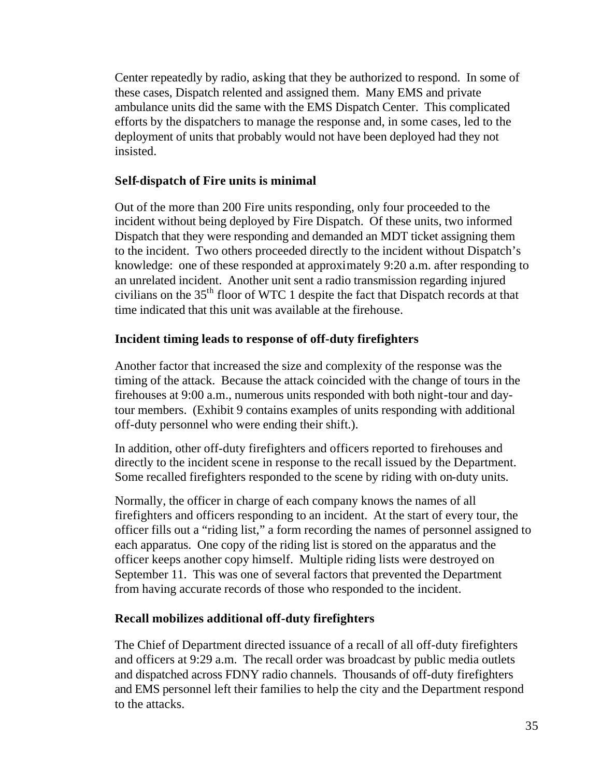Center repeatedly by radio, asking that they be authorized to respond. In some of these cases, Dispatch relented and assigned them. Many EMS and private ambulance units did the same with the EMS Dispatch Center. This complicated efforts by the dispatchers to manage the response and, in some cases, led to the deployment of units that probably would not have been deployed had they not insisted.

# **Self-dispatch of Fire units is minimal**

Out of the more than 200 Fire units responding, only four proceeded to the incident without being deployed by Fire Dispatch. Of these units, two informed Dispatch that they were responding and demanded an MDT ticket assigning them to the incident. Two others proceeded directly to the incident without Dispatch's knowledge: one of these responded at approximately 9:20 a.m. after responding to an unrelated incident. Another unit sent a radio transmission regarding injured civilians on the 35th floor of WTC 1 despite the fact that Dispatch records at that time indicated that this unit was available at the firehouse.

# **Incident timing leads to response of off-duty firefighters**

Another factor that increased the size and complexity of the response was the timing of the attack. Because the attack coincided with the change of tours in the firehouses at 9:00 a.m., numerous units responded with both night-tour and daytour members. (Exhibit 9 contains examples of units responding with additional off-duty personnel who were ending their shift.).

In addition, other off-duty firefighters and officers reported to firehouses and directly to the incident scene in response to the recall issued by the Department. Some recalled firefighters responded to the scene by riding with on-duty units.

Normally, the officer in charge of each company knows the names of all firefighters and officers responding to an incident. At the start of every tour, the officer fills out a "riding list," a form recording the names of personnel assigned to each apparatus. One copy of the riding list is stored on the apparatus and the officer keeps another copy himself. Multiple riding lists were destroyed on September 11. This was one of several factors that prevented the Department from having accurate records of those who responded to the incident.

# **Recall mobilizes additional off-duty firefighters**

The Chief of Department directed issuance of a recall of all off-duty firefighters and officers at 9:29 a.m. The recall order was broadcast by public media outlets and dispatched across FDNY radio channels. Thousands of off-duty firefighters and EMS personnel left their families to help the city and the Department respond to the attacks.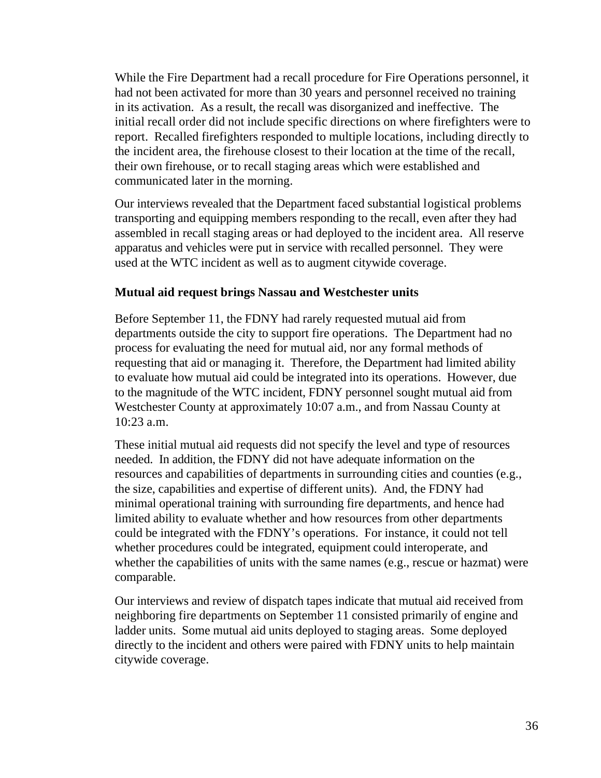While the Fire Department had a recall procedure for Fire Operations personnel, it had not been activated for more than 30 years and personnel received no training in its activation. As a result, the recall was disorganized and ineffective. The initial recall order did not include specific directions on where firefighters were to report. Recalled firefighters responded to multiple locations, including directly to the incident area, the firehouse closest to their location at the time of the recall, their own firehouse, or to recall staging areas which were established and communicated later in the morning.

Our interviews revealed that the Department faced substantial logistical problems transporting and equipping members responding to the recall, even after they had assembled in recall staging areas or had deployed to the incident area. All reserve apparatus and vehicles were put in service with recalled personnel. They were used at the WTC incident as well as to augment citywide coverage.

## **Mutual aid request brings Nassau and Westchester units**

Before September 11, the FDNY had rarely requested mutual aid from departments outside the city to support fire operations. The Department had no process for evaluating the need for mutual aid, nor any formal methods of requesting that aid or managing it. Therefore, the Department had limited ability to evaluate how mutual aid could be integrated into its operations. However, due to the magnitude of the WTC incident, FDNY personnel sought mutual aid from Westchester County at approximately 10:07 a.m., and from Nassau County at 10:23 a.m.

These initial mutual aid requests did not specify the level and type of resources needed. In addition, the FDNY did not have adequate information on the resources and capabilities of departments in surrounding cities and counties (e.g., the size, capabilities and expertise of different units). And, the FDNY had minimal operational training with surrounding fire departments, and hence had limited ability to evaluate whether and how resources from other departments could be integrated with the FDNY's operations. For instance, it could not tell whether procedures could be integrated, equipment could interoperate, and whether the capabilities of units with the same names (e.g., rescue or hazmat) were comparable.

Our interviews and review of dispatch tapes indicate that mutual aid received from neighboring fire departments on September 11 consisted primarily of engine and ladder units. Some mutual aid units deployed to staging areas. Some deployed directly to the incident and others were paired with FDNY units to help maintain citywide coverage.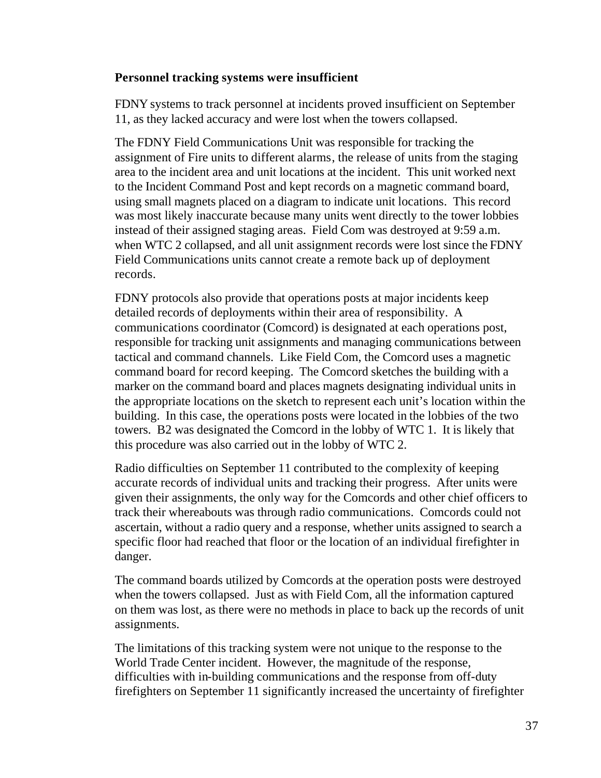#### **Personnel tracking systems were insufficient**

FDNY systems to track personnel at incidents proved insufficient on September 11, as they lacked accuracy and were lost when the towers collapsed.

The FDNY Field Communications Unit was responsible for tracking the assignment of Fire units to different alarms, the release of units from the staging area to the incident area and unit locations at the incident. This unit worked next to the Incident Command Post and kept records on a magnetic command board, using small magnets placed on a diagram to indicate unit locations. This record was most likely inaccurate because many units went directly to the tower lobbies instead of their assigned staging areas. Field Com was destroyed at 9:59 a.m. when WTC 2 collapsed, and all unit assignment records were lost since the FDNY Field Communications units cannot create a remote back up of deployment records.

FDNY protocols also provide that operations posts at major incidents keep detailed records of deployments within their area of responsibility. A communications coordinator (Comcord) is designated at each operations post, responsible for tracking unit assignments and managing communications between tactical and command channels. Like Field Com, the Comcord uses a magnetic command board for record keeping. The Comcord sketches the building with a marker on the command board and places magnets designating individual units in the appropriate locations on the sketch to represent each unit's location within the building. In this case, the operations posts were located in the lobbies of the two towers. B2 was designated the Comcord in the lobby of WTC 1. It is likely that this procedure was also carried out in the lobby of WTC 2.

Radio difficulties on September 11 contributed to the complexity of keeping accurate records of individual units and tracking their progress. After units were given their assignments, the only way for the Comcords and other chief officers to track their whereabouts was through radio communications. Comcords could not ascertain, without a radio query and a response, whether units assigned to search a specific floor had reached that floor or the location of an individual firefighter in danger.

The command boards utilized by Comcords at the operation posts were destroyed when the towers collapsed. Just as with Field Com, all the information captured on them was lost, as there were no methods in place to back up the records of unit assignments.

The limitations of this tracking system were not unique to the response to the World Trade Center incident. However, the magnitude of the response, difficulties with in-building communications and the response from off-duty firefighters on September 11 significantly increased the uncertainty of firefighter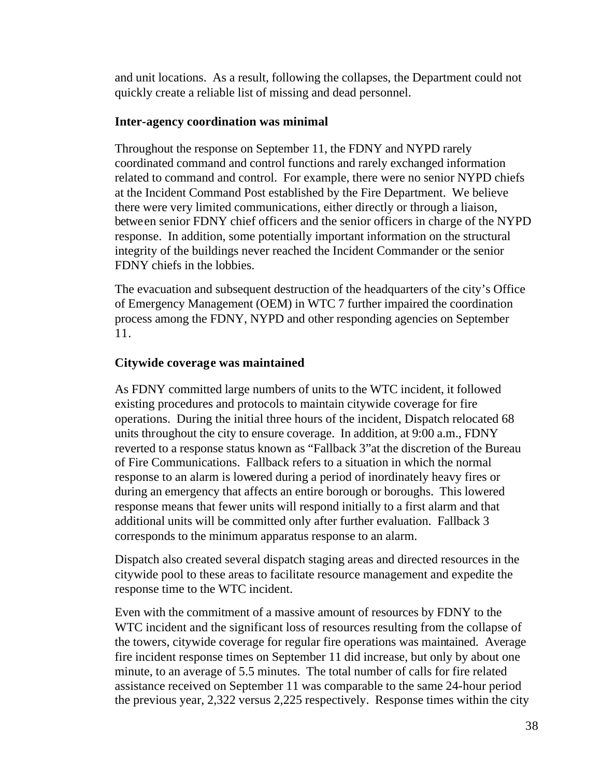and unit locations. As a result, following the collapses, the Department could not quickly create a reliable list of missing and dead personnel.

## **Inter-agency coordination was minimal**

Throughout the response on September 11, the FDNY and NYPD rarely coordinated command and control functions and rarely exchanged information related to command and control. For example, there were no senior NYPD chiefs at the Incident Command Post established by the Fire Department. We believe there were very limited communications, either directly or through a liaison, between senior FDNY chief officers and the senior officers in charge of the NYPD response. In addition, some potentially important information on the structural integrity of the buildings never reached the Incident Commander or the senior FDNY chiefs in the lobbies.

The evacuation and subsequent destruction of the headquarters of the city's Office of Emergency Management (OEM) in WTC 7 further impaired the coordination process among the FDNY, NYPD and other responding agencies on September 11.

# **Citywide coverage was maintained**

As FDNY committed large numbers of units to the WTC incident, it followed existing procedures and protocols to maintain citywide coverage for fire operations. During the initial three hours of the incident, Dispatch relocated 68 units throughout the city to ensure coverage. In addition, at 9:00 a.m., FDNY reverted to a response status known as "Fallback 3"at the discretion of the Bureau of Fire Communications. Fallback refers to a situation in which the normal response to an alarm is lowered during a period of inordinately heavy fires or during an emergency that affects an entire borough or boroughs. This lowered response means that fewer units will respond initially to a first alarm and that additional units will be committed only after further evaluation. Fallback 3 corresponds to the minimum apparatus response to an alarm.

Dispatch also created several dispatch staging areas and directed resources in the citywide pool to these areas to facilitate resource management and expedite the response time to the WTC incident.

Even with the commitment of a massive amount of resources by FDNY to the WTC incident and the significant loss of resources resulting from the collapse of the towers, citywide coverage for regular fire operations was maintained. Average fire incident response times on September 11 did increase, but only by about one minute, to an average of 5.5 minutes. The total number of calls for fire related assistance received on September 11 was comparable to the same 24-hour period the previous year, 2,322 versus 2,225 respectively. Response times within the city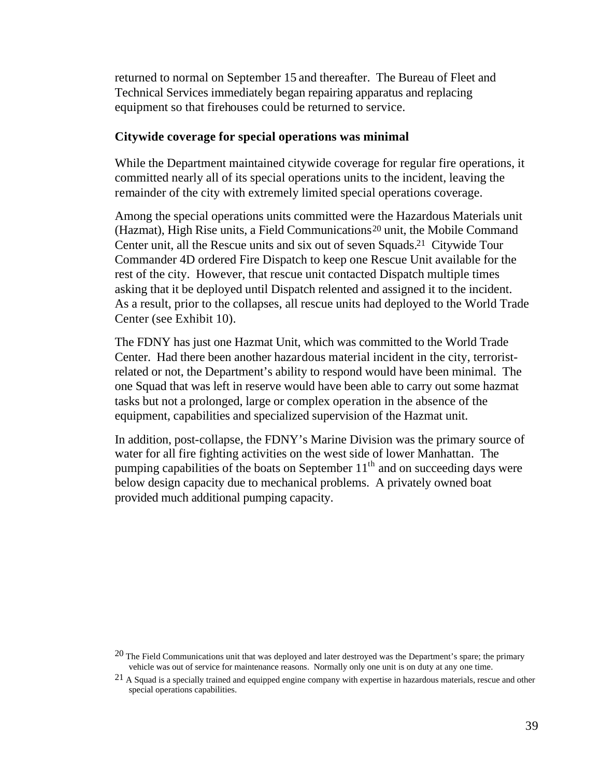returned to normal on September 15 and thereafter. The Bureau of Fleet and Technical Services immediately began repairing apparatus and replacing equipment so that firehouses could be returned to service.

#### **Citywide coverage for special operations was minimal**

While the Department maintained citywide coverage for regular fire operations, it committed nearly all of its special operations units to the incident, leaving the remainder of the city with extremely limited special operations coverage.

Among the special operations units committed were the Hazardous Materials unit (Hazmat), High Rise units, a Field Communications<sup>20</sup> unit, the Mobile Command Center unit, all the Rescue units and six out of seven Squads.21 Citywide Tour Commander 4D ordered Fire Dispatch to keep one Rescue Unit available for the rest of the city. However, that rescue unit contacted Dispatch multiple times asking that it be deployed until Dispatch relented and assigned it to the incident. As a result, prior to the collapses, all rescue units had deployed to the World Trade Center (see Exhibit 10).

The FDNY has just one Hazmat Unit, which was committed to the World Trade Center. Had there been another hazardous material incident in the city, terroristrelated or not, the Department's ability to respond would have been minimal. The one Squad that was left in reserve would have been able to carry out some hazmat tasks but not a prolonged, large or complex operation in the absence of the equipment, capabilities and specialized supervision of the Hazmat unit.

In addition, post-collapse, the FDNY's Marine Division was the primary source of water for all fire fighting activities on the west side of lower Manhattan. The pumping capabilities of the boats on September  $11<sup>th</sup>$  and on succeeding days were below design capacity due to mechanical problems. A privately owned boat provided much additional pumping capacity.

<sup>&</sup>lt;sup>20</sup> The Field Communications unit that was deployed and later destroyed was the Department's spare; the primary vehicle was out of service for maintenance reasons. Normally only one unit is on duty at any one time.

 $^{21}$  A Squad is a specially trained and equipped engine company with expertise in hazardous materials, rescue and other special operations capabilities.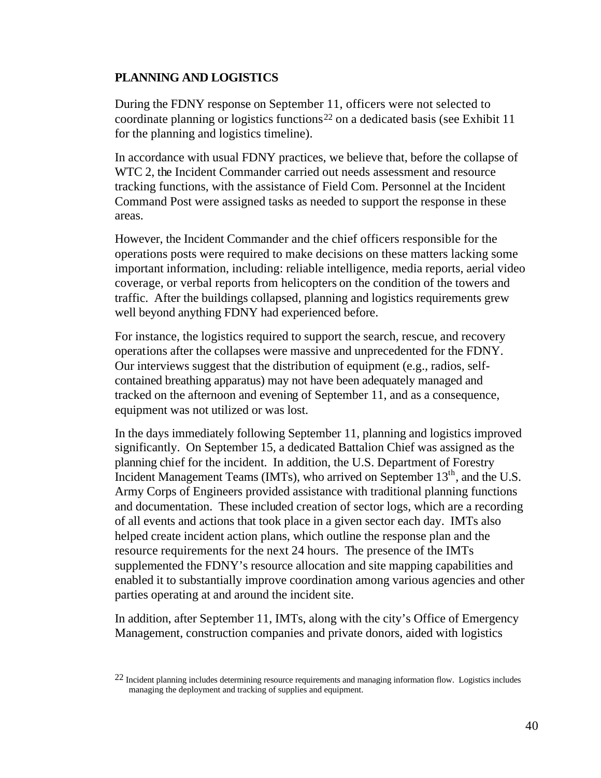## **PLANNING AND LOGISTICS**

During the FDNY response on September 11, officers were not selected to coordinate planning or logistics functions<sup>22</sup> on a dedicated basis (see Exhibit 11 for the planning and logistics timeline).

In accordance with usual FDNY practices, we believe that, before the collapse of WTC 2, the Incident Commander carried out needs assessment and resource tracking functions, with the assistance of Field Com. Personnel at the Incident Command Post were assigned tasks as needed to support the response in these areas.

However, the Incident Commander and the chief officers responsible for the operations posts were required to make decisions on these matters lacking some important information, including: reliable intelligence, media reports, aerial video coverage, or verbal reports from helicopters on the condition of the towers and traffic. After the buildings collapsed, planning and logistics requirements grew well beyond anything FDNY had experienced before.

For instance, the logistics required to support the search, rescue, and recovery operations after the collapses were massive and unprecedented for the FDNY. Our interviews suggest that the distribution of equipment (e.g., radios, selfcontained breathing apparatus) may not have been adequately managed and tracked on the afternoon and evening of September 11, and as a consequence, equipment was not utilized or was lost.

In the days immediately following September 11, planning and logistics improved significantly. On September 15, a dedicated Battalion Chief was assigned as the planning chief for the incident. In addition, the U.S. Department of Forestry Incident Management Teams (IMTs), who arrived on September  $13<sup>th</sup>$ , and the U.S. Army Corps of Engineers provided assistance with traditional planning functions and documentation. These included creation of sector logs, which are a recording of all events and actions that took place in a given sector each day. IMTs also helped create incident action plans, which outline the response plan and the resource requirements for the next 24 hours. The presence of the IMTs supplemented the FDNY's resource allocation and site mapping capabilities and enabled it to substantially improve coordination among various agencies and other parties operating at and around the incident site.

In addition, after September 11, IMTs, along with the city's Office of Emergency Management, construction companies and private donors, aided with logistics

<sup>&</sup>lt;sup>22</sup> Incident planning includes determining resource requirements and managing information flow. Logistics includes managing the deployment and tracking of supplies and equipment.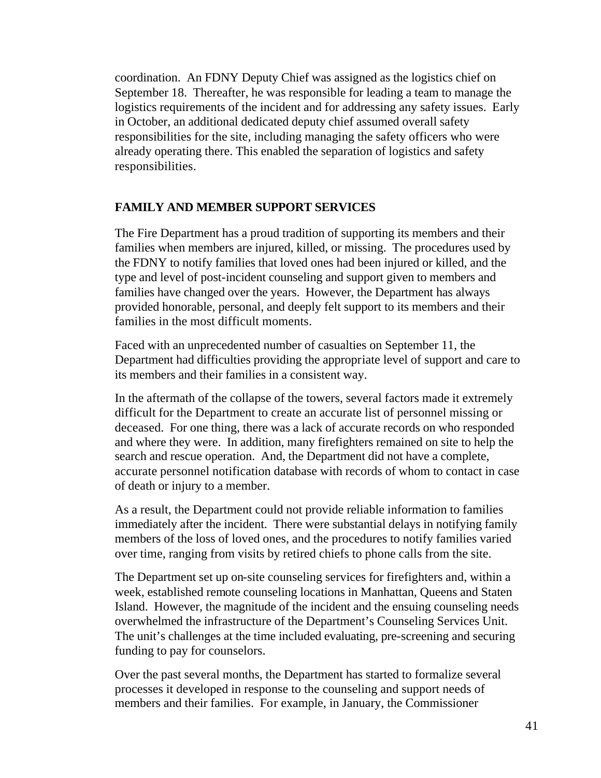coordination. An FDNY Deputy Chief was assigned as the logistics chief on September 18. Thereafter, he was responsible for leading a team to manage the logistics requirements of the incident and for addressing any safety issues. Early in October, an additional dedicated deputy chief assumed overall safety responsibilities for the site, including managing the safety officers who were already operating there. This enabled the separation of logistics and safety responsibilities.

## **FAMILY AND MEMBER SUPPORT SERVICES**

The Fire Department has a proud tradition of supporting its members and their families when members are injured, killed, or missing. The procedures used by the FDNY to notify families that loved ones had been injured or killed, and the type and level of post-incident counseling and support given to members and families have changed over the years. However, the Department has always provided honorable, personal, and deeply felt support to its members and their families in the most difficult moments.

Faced with an unprecedented number of casualties on September 11, the Department had difficulties providing the appropriate level of support and care to its members and their families in a consistent way.

In the aftermath of the collapse of the towers, several factors made it extremely difficult for the Department to create an accurate list of personnel missing or deceased. For one thing, there was a lack of accurate records on who responded and where they were. In addition, many firefighters remained on site to help the search and rescue operation. And, the Department did not have a complete, accurate personnel notification database with records of whom to contact in case of death or injury to a member.

As a result, the Department could not provide reliable information to families immediately after the incident. There were substantial delays in notifying family members of the loss of loved ones, and the procedures to notify families varied over time, ranging from visits by retired chiefs to phone calls from the site.

The Department set up on-site counseling services for firefighters and, within a week, established remote counseling locations in Manhattan, Queens and Staten Island. However, the magnitude of the incident and the ensuing counseling needs overwhelmed the infrastructure of the Department's Counseling Services Unit. The unit's challenges at the time included evaluating, pre-screening and securing funding to pay for counselors.

Over the past several months, the Department has started to formalize several processes it developed in response to the counseling and support needs of members and their families. For example, in January, the Commissioner